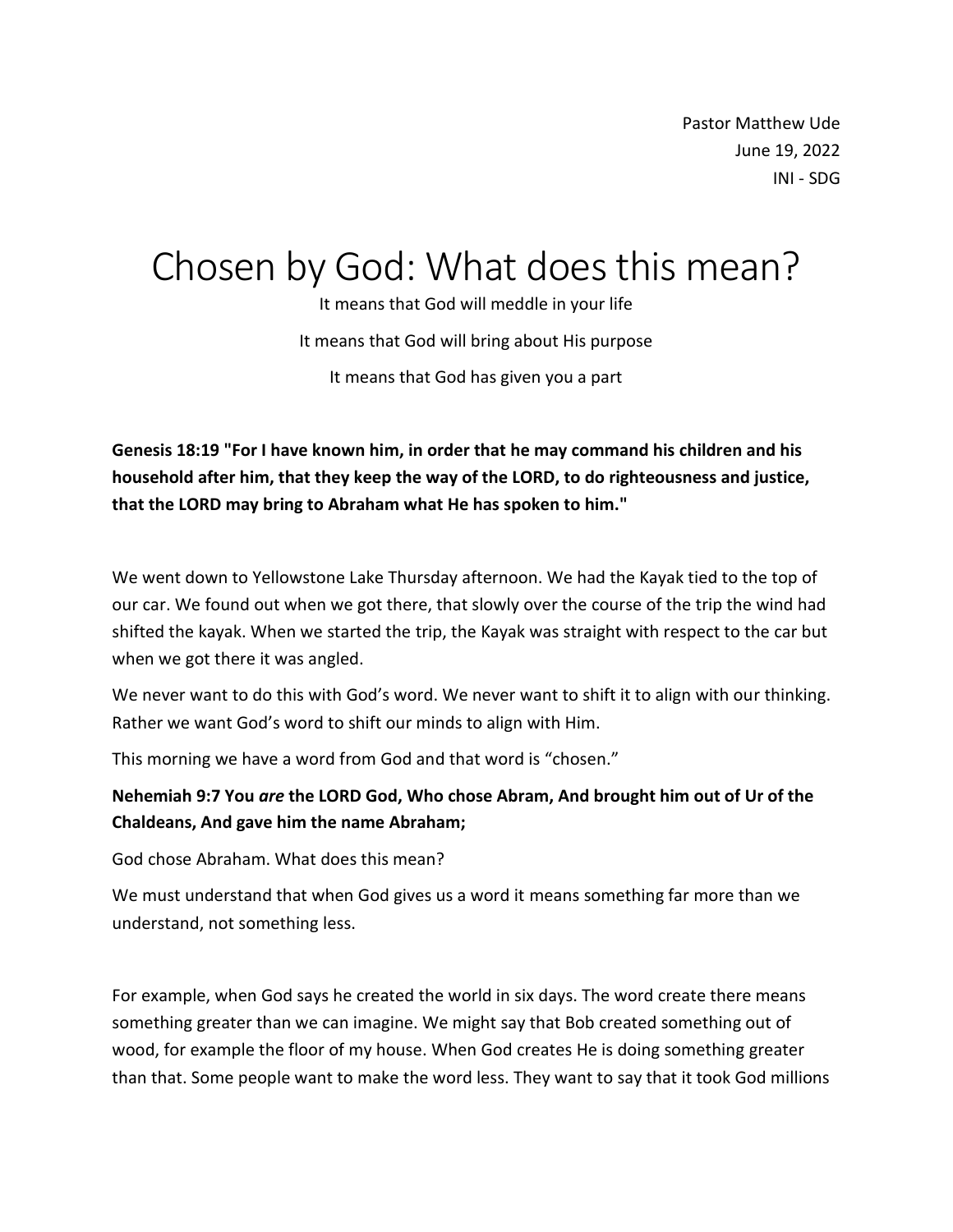Pastor Matthew Ude June 19, 2022 INI - SDG

# Chosen by God: What does this mean?

It means that God will meddle in your life It means that God will bring about His purpose It means that God has given you a part

**Genesis 18:19 "For I have known him, in order that he may command his children and his household after him, that they keep the way of the LORD, to do righteousness and justice, that the LORD may bring to Abraham what He has spoken to him."**

We went down to Yellowstone Lake Thursday afternoon. We had the Kayak tied to the top of our car. We found out when we got there, that slowly over the course of the trip the wind had shifted the kayak. When we started the trip, the Kayak was straight with respect to the car but when we got there it was angled.

We never want to do this with God's word. We never want to shift it to align with our thinking. Rather we want God's word to shift our minds to align with Him.

This morning we have a word from God and that word is "chosen."

## **Nehemiah 9:7 You** *are* **the LORD God, Who chose Abram, And brought him out of Ur of the Chaldeans, And gave him the name Abraham;**

God chose Abraham. What does this mean?

We must understand that when God gives us a word it means something far more than we understand, not something less.

For example, when God says he created the world in six days. The word create there means something greater than we can imagine. We might say that Bob created something out of wood, for example the floor of my house. When God creates He is doing something greater than that. Some people want to make the word less. They want to say that it took God millions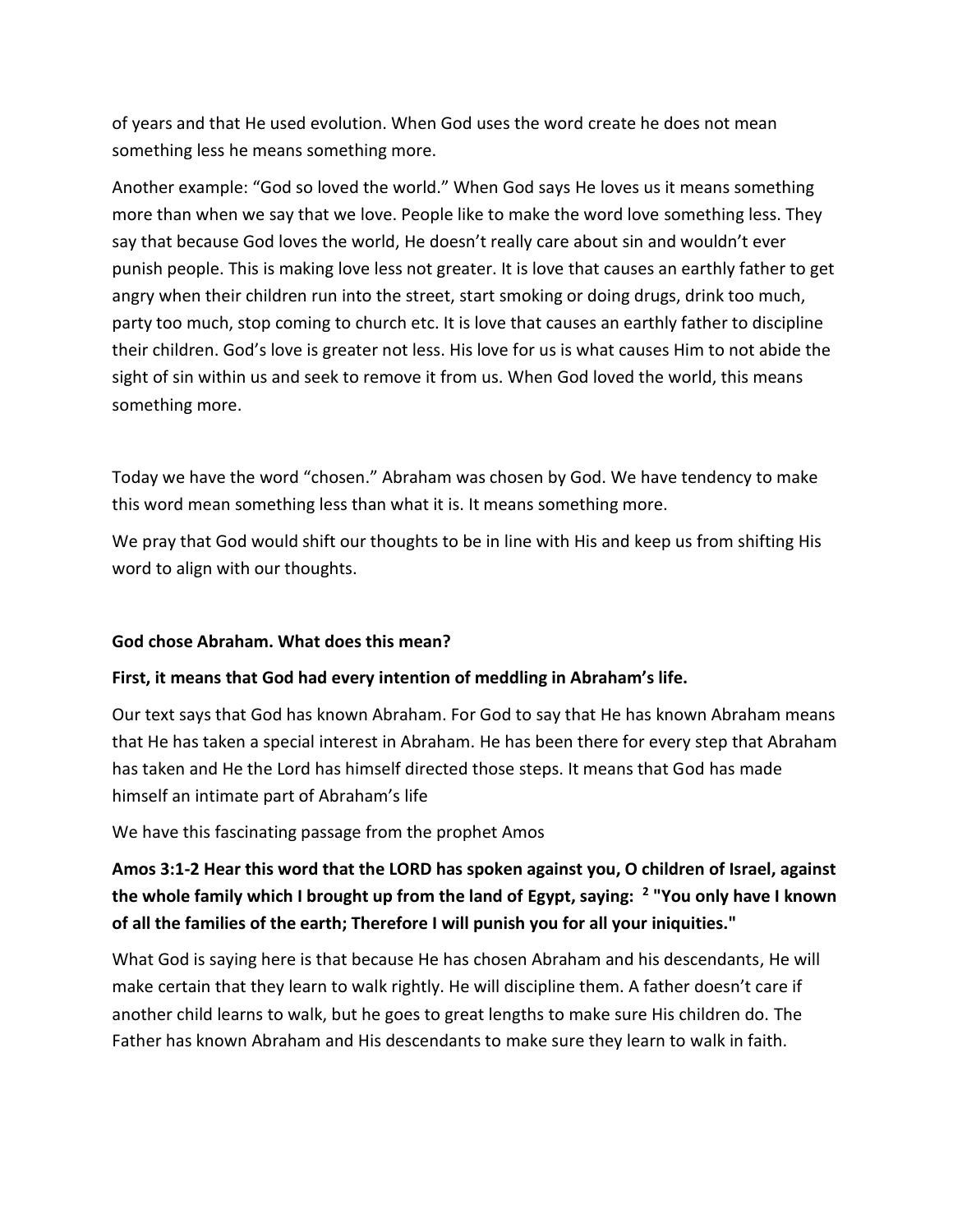of years and that He used evolution. When God uses the word create he does not mean something less he means something more.

Another example: "God so loved the world." When God says He loves us it means something more than when we say that we love. People like to make the word love something less. They say that because God loves the world, He doesn't really care about sin and wouldn't ever punish people. This is making love less not greater. It is love that causes an earthly father to get angry when their children run into the street, start smoking or doing drugs, drink too much, party too much, stop coming to church etc. It is love that causes an earthly father to discipline their children. God's love is greater not less. His love for us is what causes Him to not abide the sight of sin within us and seek to remove it from us. When God loved the world, this means something more.

Today we have the word "chosen." Abraham was chosen by God. We have tendency to make this word mean something less than what it is. It means something more.

We pray that God would shift our thoughts to be in line with His and keep us from shifting His word to align with our thoughts.

#### **God chose Abraham. What does this mean?**

#### **First, it means that God had every intention of meddling in Abraham's life.**

Our text says that God has known Abraham. For God to say that He has known Abraham means that He has taken a special interest in Abraham. He has been there for every step that Abraham has taken and He the Lord has himself directed those steps. It means that God has made himself an intimate part of Abraham's life

We have this fascinating passage from the prophet Amos

# **Amos 3:1-2 Hear this word that the LORD has spoken against you, O children of Israel, against the whole family which I brought up from the land of Egypt, saying: <sup>2</sup> "You only have I known of all the families of the earth; Therefore I will punish you for all your iniquities."**

What God is saying here is that because He has chosen Abraham and his descendants, He will make certain that they learn to walk rightly. He will discipline them. A father doesn't care if another child learns to walk, but he goes to great lengths to make sure His children do. The Father has known Abraham and His descendants to make sure they learn to walk in faith.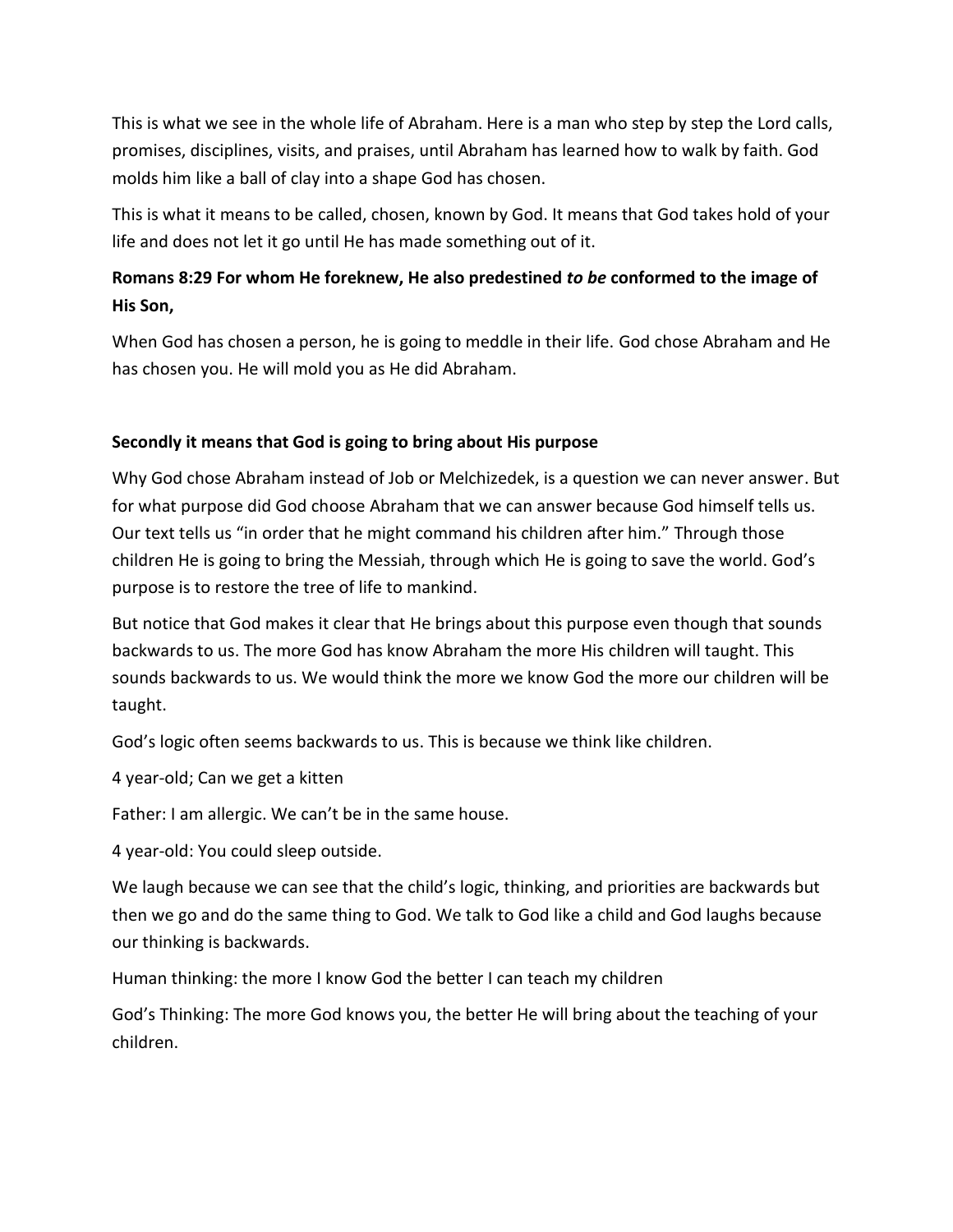This is what we see in the whole life of Abraham. Here is a man who step by step the Lord calls, promises, disciplines, visits, and praises, until Abraham has learned how to walk by faith. God molds him like a ball of clay into a shape God has chosen.

This is what it means to be called, chosen, known by God. It means that God takes hold of your life and does not let it go until He has made something out of it.

## **Romans 8:29 For whom He foreknew, He also predestined** *to be* **conformed to the image of His Son,**

When God has chosen a person, he is going to meddle in their life. God chose Abraham and He has chosen you. He will mold you as He did Abraham.

### **Secondly it means that God is going to bring about His purpose**

Why God chose Abraham instead of Job or Melchizedek, is a question we can never answer. But for what purpose did God choose Abraham that we can answer because God himself tells us. Our text tells us "in order that he might command his children after him." Through those children He is going to bring the Messiah, through which He is going to save the world. God's purpose is to restore the tree of life to mankind.

But notice that God makes it clear that He brings about this purpose even though that sounds backwards to us. The more God has know Abraham the more His children will taught. This sounds backwards to us. We would think the more we know God the more our children will be taught.

God's logic often seems backwards to us. This is because we think like children.

4 year-old; Can we get a kitten

Father: I am allergic. We can't be in the same house.

4 year-old: You could sleep outside.

We laugh because we can see that the child's logic, thinking, and priorities are backwards but then we go and do the same thing to God. We talk to God like a child and God laughs because our thinking is backwards.

Human thinking: the more I know God the better I can teach my children

God's Thinking: The more God knows you, the better He will bring about the teaching of your children.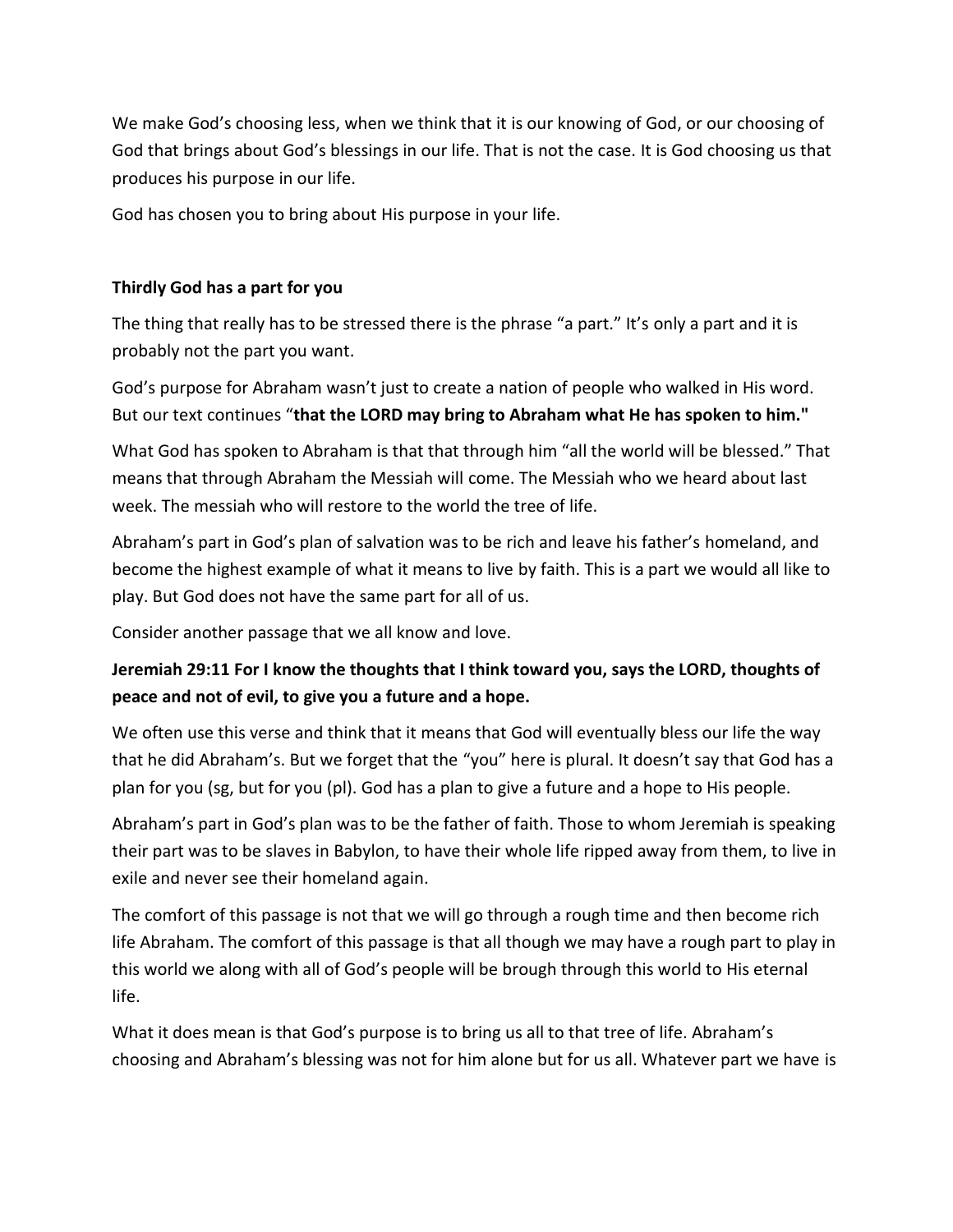We make God's choosing less, when we think that it is our knowing of God, or our choosing of God that brings about God's blessings in our life. That is not the case. It is God choosing us that produces his purpose in our life.

God has chosen you to bring about His purpose in your life.

## **Thirdly God has a part for you**

The thing that really has to be stressed there is the phrase "a part." It's only a part and it is probably not the part you want.

God's purpose for Abraham wasn't just to create a nation of people who walked in His word. But our text continues "**that the LORD may bring to Abraham what He has spoken to him."**

What God has spoken to Abraham is that that through him "all the world will be blessed." That means that through Abraham the Messiah will come. The Messiah who we heard about last week. The messiah who will restore to the world the tree of life.

Abraham's part in God's plan of salvation was to be rich and leave his father's homeland, and become the highest example of what it means to live by faith. This is a part we would all like to play. But God does not have the same part for all of us.

Consider another passage that we all know and love.

## **Jeremiah 29:11 For I know the thoughts that I think toward you, says the LORD, thoughts of peace and not of evil, to give you a future and a hope.**

We often use this verse and think that it means that God will eventually bless our life the way that he did Abraham's. But we forget that the "you" here is plural. It doesn't say that God has a plan for you (sg, but for you (pl). God has a plan to give a future and a hope to His people.

Abraham's part in God's plan was to be the father of faith. Those to whom Jeremiah is speaking their part was to be slaves in Babylon, to have their whole life ripped away from them, to live in exile and never see their homeland again.

The comfort of this passage is not that we will go through a rough time and then become rich life Abraham. The comfort of this passage is that all though we may have a rough part to play in this world we along with all of God's people will be brough through this world to His eternal life.

What it does mean is that God's purpose is to bring us all to that tree of life. Abraham's choosing and Abraham's blessing was not for him alone but for us all. Whatever part we have is